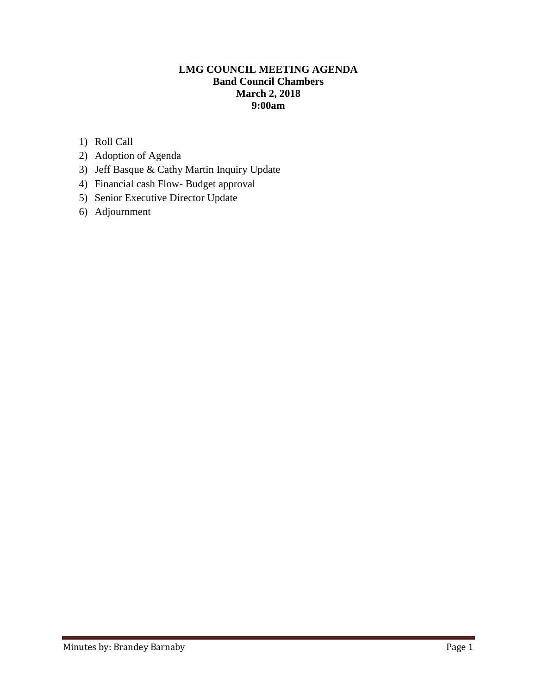### **LMG COUNCIL MEETING AGENDA Band Council Chambers March 2, 2018 9:00am**

- 1) Roll Call
- 2) Adoption of Agenda
- 3) Jeff Basque & Cathy Martin Inquiry Update
- 4) Financial cash Flow- Budget approval
- 5) Senior Executive Director Update
- 6) Adjournment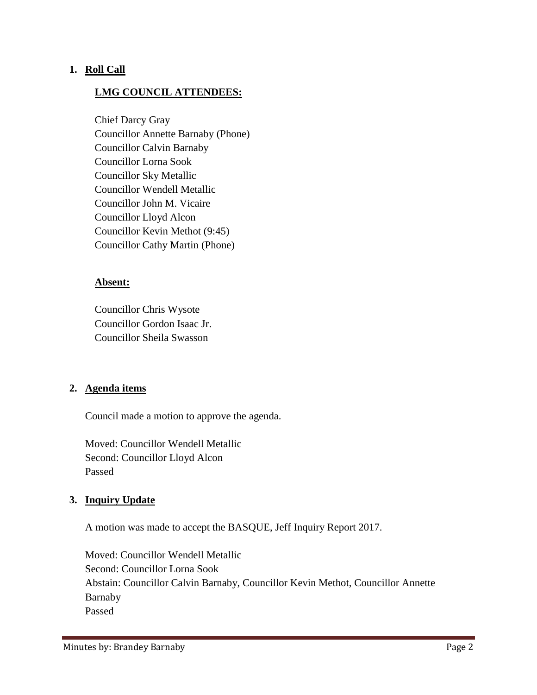### **1. Roll Call**

### **LMG COUNCIL ATTENDEES:**

Chief Darcy Gray Councillor Annette Barnaby (Phone) Councillor Calvin Barnaby Councillor Lorna Sook Councillor Sky Metallic Councillor Wendell Metallic Councillor John M. Vicaire Councillor Lloyd Alcon Councillor Kevin Methot (9:45) Councillor Cathy Martin (Phone)

#### **Absent:**

Councillor Chris Wysote Councillor Gordon Isaac Jr. Councillor Sheila Swasson

#### **2. Agenda items**

Council made a motion to approve the agenda.

Moved: Councillor Wendell Metallic Second: Councillor Lloyd Alcon Passed

#### **3. Inquiry Update**

A motion was made to accept the BASQUE, Jeff Inquiry Report 2017.

Moved: Councillor Wendell Metallic Second: Councillor Lorna Sook Abstain: Councillor Calvin Barnaby, Councillor Kevin Methot, Councillor Annette Barnaby Passed